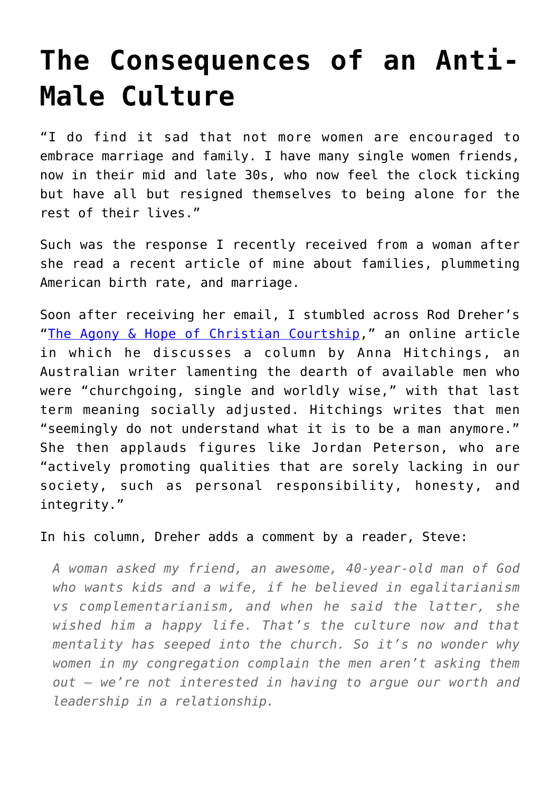## **[The Consequences of an Anti-](https://intellectualtakeout.org/2019/06/the-consequences-of-an-anti-male-culture/)[Male Culture](https://intellectualtakeout.org/2019/06/the-consequences-of-an-anti-male-culture/)**

"I do find it sad that not more women are encouraged to embrace marriage and family. I have many single women friends, now in their mid and late 30s, who now feel the clock ticking but have all but resigned themselves to being alone for the rest of their lives."

Such was the response I recently received from a woman after she read a recent article of mine about families, plummeting American birth rate, and marriage.

Soon after receiving her email, I stumbled across Rod Dreher's "[The Agony & Hope of Christian Courtship,](https://www.theamericanconservative.com/dreher/agony-hope-christian-courtship-anna-hitchings/)" an online article in which he discusses a column by Anna Hitchings, an Australian writer lamenting the dearth of available men who were "churchgoing, single and worldly wise," with that last term meaning socially adjusted. Hitchings writes that men "seemingly do not understand what it is to be a man anymore." She then applauds figures like Jordan Peterson, who are "actively promoting qualities that are sorely lacking in our society, such as personal responsibility, honesty, and integrity."

In his column, Dreher adds a comment by a reader, Steve:

*A woman asked my friend, an awesome, 40-year-old man of God who wants kids and a wife, if he believed in egalitarianism vs complementarianism, and when he said the latter, she wished him a happy life. That's the culture now and that mentality has seeped into the church. So it's no wonder why women in my congregation complain the men aren't asking them out — we're not interested in having to argue our worth and leadership in a relationship.*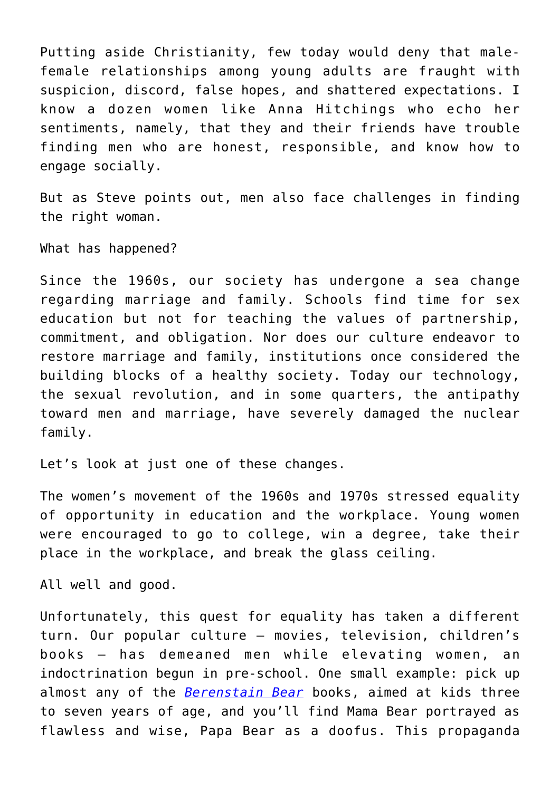Putting aside Christianity, few today would deny that malefemale relationships among young adults are fraught with suspicion, discord, false hopes, and shattered expectations. I know a dozen women like Anna Hitchings who echo her sentiments, namely, that they and their friends have trouble finding men who are honest, responsible, and know how to engage socially.

But as Steve points out, men also face challenges in finding the right woman.

What has happened?

Since the 1960s, our society has undergone a sea change regarding marriage and family. Schools find time for sex education but not for teaching the values of partnership, commitment, and obligation. Nor does our culture endeavor to restore marriage and family, institutions once considered the building blocks of a healthy society. Today our technology, the sexual revolution, and in some quarters, the antipathy toward men and marriage, have severely damaged the nuclear family.

Let's look at just one of these changes.

The women's movement of the 1960s and 1970s stressed equality of opportunity in education and the workplace. Young women were encouraged to go to college, win a degree, take their place in the workplace, and break the glass ceiling.

All well and good.

Unfortunately, this quest for equality has taken a different turn. Our popular culture – movies, television, children's books – has demeaned men while elevating women, an indoctrination begun in pre-school. One small example: pick up almost any of the *[Berenstain Bear](https://www.amazon.com/gp/product/0399555978/ref=as_li_tl?ie=UTF8&camp=1789&creative=9325&creativeASIN=0399555978&linkCode=as2&tag=intelltakeo0d-20&linkId=ae6ce161b6ad37358ce306435a3b9041)* books, aimed at kids three to seven years of age, and you'll find Mama Bear portrayed as flawless and wise, Papa Bear as a doofus. This propaganda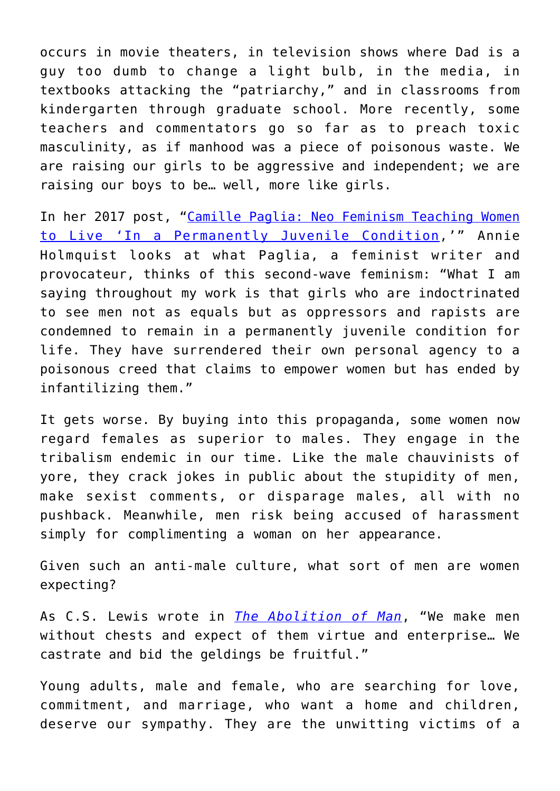occurs in movie theaters, in television shows where Dad is a guy too dumb to change a light bulb, in the media, in textbooks attacking the "patriarchy," and in classrooms from kindergarten through graduate school. More recently, some teachers and commentators go so far as to preach toxic masculinity, as if manhood was a piece of poisonous waste. We are raising our girls to be aggressive and independent; we are raising our boys to be… well, more like girls.

In her 2017 post, ["Camille Paglia: Neo Feminism Teaching Women](https://intellectualtakeout.org/blog/camille-paglia-neo-feminism-teaching-women-live-permanently-juvenile-condition) [to Live 'In a Permanently Juvenile Condition,](https://intellectualtakeout.org/blog/camille-paglia-neo-feminism-teaching-women-live-permanently-juvenile-condition)'" Annie Holmquist looks at what Paglia, a feminist writer and provocateur, thinks of this second-wave feminism: "What I am saying throughout my work is that girls who are indoctrinated to see men not as equals but as oppressors and rapists are condemned to remain in a permanently juvenile condition for life. They have surrendered their own personal agency to a poisonous creed that claims to empower women but has ended by infantilizing them."

It gets worse. By buying into this propaganda, some women now regard females as superior to males. They engage in the tribalism endemic in our time. Like the male chauvinists of yore, they crack jokes in public about the stupidity of men, make sexist comments, or disparage males, all with no pushback. Meanwhile, men risk being accused of harassment simply for complimenting a woman on her appearance.

Given such an anti-male culture, what sort of men are women expecting?

As C.S. Lewis wrote in *[The Abolition of Man](https://www.amazon.com/gp/product/0060652942/ref=as_li_tl?ie=UTF8&camp=1789&creative=9325&creativeASIN=0060652942&linkCode=as2&tag=intelltakeo0d-20&linkId=c75d87df61fd8dc5cd9812fcd74dd8ee)*, "We make men without chests and expect of them virtue and enterprise… We castrate and bid the geldings be fruitful."

Young adults, male and female, who are searching for love, commitment, and marriage, who want a home and children, deserve our sympathy. They are the unwitting victims of a